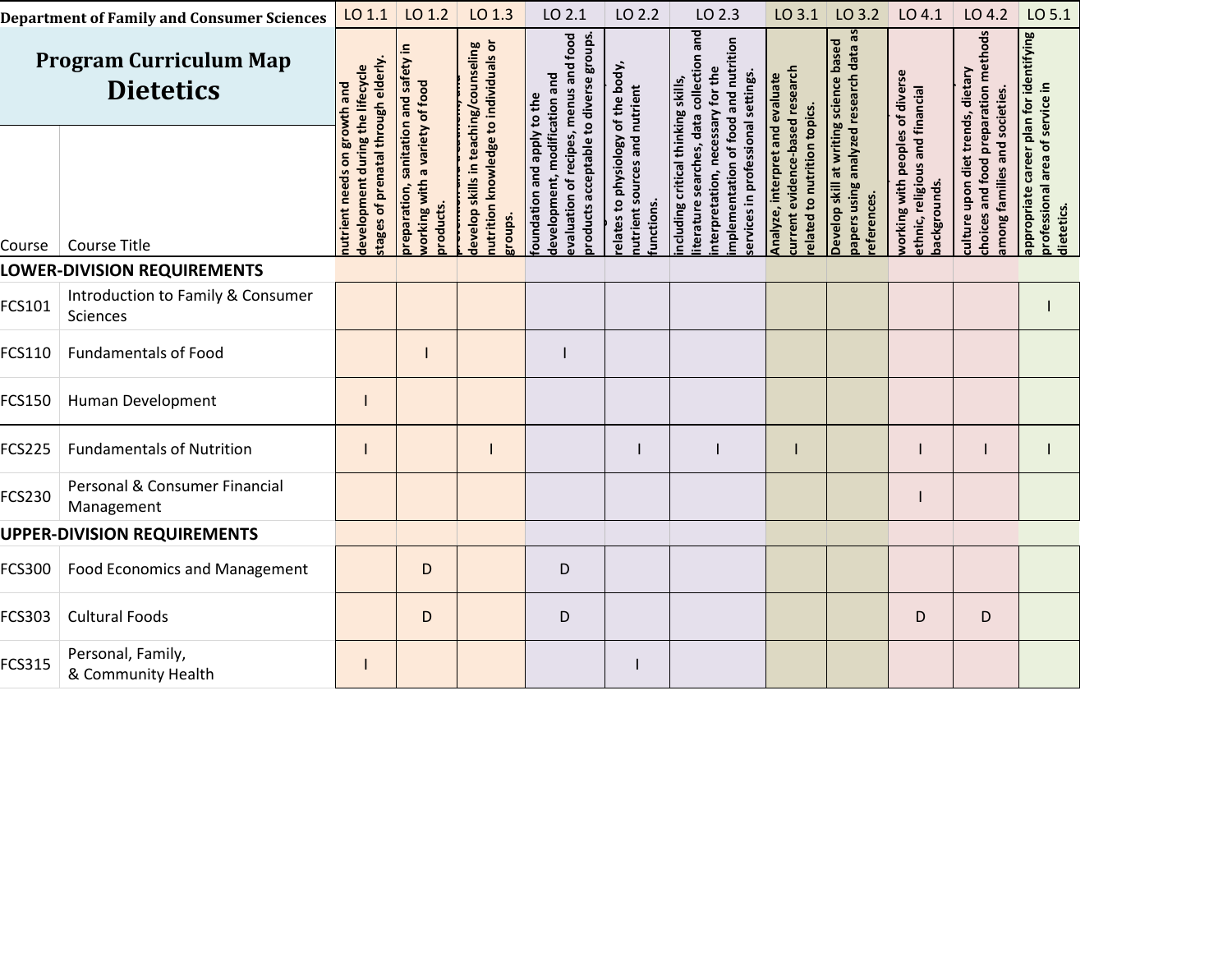| <b>Department of Family and Consumer Sciences</b> |                                               | LO 1.1                                                                              | LO 1.2                                                                               | LO 1.3                                                                                    | LO 2.1                                                                                                                                         | LO 2.2                                                                           | LO 2.3                                                                                                                                                                                            | $LO$ 3.1                                                                                          | LO 3.2                                                                                   | LO 4.1                                                                             | LO 4.2                                                                                                        | LO 5.1                                                                                   |
|---------------------------------------------------|-----------------------------------------------|-------------------------------------------------------------------------------------|--------------------------------------------------------------------------------------|-------------------------------------------------------------------------------------------|------------------------------------------------------------------------------------------------------------------------------------------------|----------------------------------------------------------------------------------|---------------------------------------------------------------------------------------------------------------------------------------------------------------------------------------------------|---------------------------------------------------------------------------------------------------|------------------------------------------------------------------------------------------|------------------------------------------------------------------------------------|---------------------------------------------------------------------------------------------------------------|------------------------------------------------------------------------------------------|
| <b>Program Curriculum Map</b><br><b>Dietetics</b> |                                               | vth and                                                                             |                                                                                      |                                                                                           |                                                                                                                                                |                                                                                  |                                                                                                                                                                                                   |                                                                                                   | based                                                                                    |                                                                                    |                                                                                                               |                                                                                          |
| Course                                            | <b>Course Title</b>                           | stages of prenatal through elderly.<br>development during the lifecycle<br>nutrient | preparation, sanitation and safety in<br>working with a variety of food<br>products. | nutrition knowledge to individuals or<br>develop skills in teaching/counseling<br>groups. | evaluation of recipes, menus and food<br>products acceptable to diverse groups<br>development, modification and<br>foundation and apply to the | elates to physiology of the body,<br>nutrient sources and nutrient<br>iunctions. | iterature searches, data collection and<br>mplementation of food and nutrition<br>nterpretation, necessary for the<br>in professional settings.<br>ncluding critical thinking skills,<br>services | current evidence-based research<br>Analyze, interpret and evaluate<br>elated to nutrition topics. | papers using analyzed research data as<br>Develop skill at writing science<br>eferences. | working with peoples of diverse<br>ethnic, religious and financial<br>backgrounds. | choices and food preparation methods<br>culture upon diet trends, dietary<br>and societies.<br>among families | appropriate career plan for identifying<br>professional area of service in<br>dietetics. |
| LOWER-DIVISION REQUIREMENTS                       |                                               |                                                                                     |                                                                                      |                                                                                           |                                                                                                                                                |                                                                                  |                                                                                                                                                                                                   |                                                                                                   |                                                                                          |                                                                                    |                                                                                                               |                                                                                          |
| FCS101                                            | Introduction to Family & Consumer<br>Sciences |                                                                                     |                                                                                      |                                                                                           |                                                                                                                                                |                                                                                  |                                                                                                                                                                                                   |                                                                                                   |                                                                                          |                                                                                    |                                                                                                               |                                                                                          |
| <b>FCS110</b>                                     | <b>Fundamentals of Food</b>                   |                                                                                     |                                                                                      |                                                                                           |                                                                                                                                                |                                                                                  |                                                                                                                                                                                                   |                                                                                                   |                                                                                          |                                                                                    |                                                                                                               |                                                                                          |
| <b>FCS150</b>                                     | Human Development                             |                                                                                     |                                                                                      |                                                                                           |                                                                                                                                                |                                                                                  |                                                                                                                                                                                                   |                                                                                                   |                                                                                          |                                                                                    |                                                                                                               |                                                                                          |
| <b>FCS225</b>                                     | <b>Fundamentals of Nutrition</b>              |                                                                                     |                                                                                      |                                                                                           |                                                                                                                                                |                                                                                  |                                                                                                                                                                                                   |                                                                                                   |                                                                                          |                                                                                    |                                                                                                               |                                                                                          |
| <b>FCS230</b>                                     | Personal & Consumer Financial<br>Management   |                                                                                     |                                                                                      |                                                                                           |                                                                                                                                                |                                                                                  |                                                                                                                                                                                                   |                                                                                                   |                                                                                          |                                                                                    |                                                                                                               |                                                                                          |
| <b>UPPER-DIVISION REQUIREMENTS</b>                |                                               |                                                                                     |                                                                                      |                                                                                           |                                                                                                                                                |                                                                                  |                                                                                                                                                                                                   |                                                                                                   |                                                                                          |                                                                                    |                                                                                                               |                                                                                          |
| <b>FCS300</b>                                     | <b>Food Economics and Management</b>          |                                                                                     | D                                                                                    |                                                                                           | D                                                                                                                                              |                                                                                  |                                                                                                                                                                                                   |                                                                                                   |                                                                                          |                                                                                    |                                                                                                               |                                                                                          |
| <b>FCS303</b>                                     | <b>Cultural Foods</b>                         |                                                                                     | D                                                                                    |                                                                                           | D                                                                                                                                              |                                                                                  |                                                                                                                                                                                                   |                                                                                                   |                                                                                          | D                                                                                  | D                                                                                                             |                                                                                          |
| <b>FCS315</b>                                     | Personal, Family,<br>& Community Health       |                                                                                     |                                                                                      |                                                                                           |                                                                                                                                                |                                                                                  |                                                                                                                                                                                                   |                                                                                                   |                                                                                          |                                                                                    |                                                                                                               |                                                                                          |